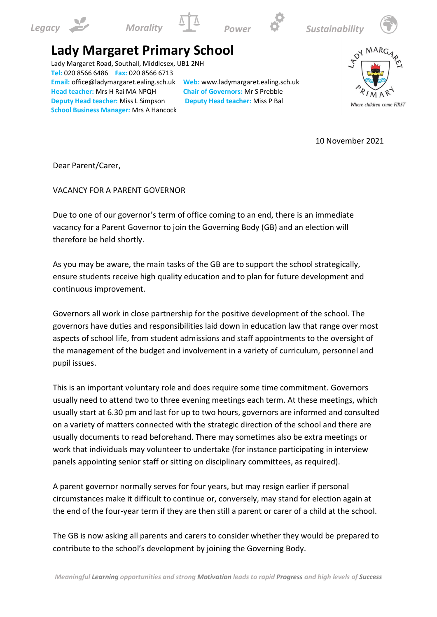









## **Lady Margaret Primary School**

Lady Margaret Road, Southall, Middlesex, UB1 2NH **Tel:** 020 8566 6486 **Fax:** 020 8566 6713 **Email:** office@ladymargaret.ealing.sch.uk **Web:** www.ladymargaret.ealing.sch.uk **Head teacher:** Mrs H Rai MA NPQH **Chair of Governors:** Mr S Prebble **Deputy Head teacher:** Miss L Simpson **Deputy Head teacher:** Miss P Bal **School Business Manager:** Mrs A Hancock



10 November 2021

Dear Parent/Carer,

VACANCY FOR A PARENT GOVERNOR

Due to one of our governor's term of office coming to an end, there is an immediate vacancy for a Parent Governor to join the Governing Body (GB) and an election will therefore be held shortly.

As you may be aware, the main tasks of the GB are to support the school strategically, ensure students receive high quality education and to plan for future development and continuous improvement.

Governors all work in close partnership for the positive development of the school. The governors have duties and responsibilities laid down in education law that range over most aspects of school life, from student admissions and staff appointments to the oversight of the management of the budget and involvement in a variety of curriculum, personnel and pupil issues.

This is an important voluntary role and does require some time commitment. Governors usually need to attend two to three evening meetings each term. At these meetings, which usually start at 6.30 pm and last for up to two hours, governors are informed and consulted on a variety of matters connected with the strategic direction of the school and there are usually documents to read beforehand. There may sometimes also be extra meetings or work that individuals may volunteer to undertake (for instance participating in interview panels appointing senior staff or sitting on disciplinary committees, as required).

A parent governor normally serves for four years, but may resign earlier if personal circumstances make it difficult to continue or, conversely, may stand for election again at the end of the four-year term if they are then still a parent or carer of a child at the school.

The GB is now asking all parents and carers to consider whether they would be prepared to contribute to the school's development by joining the Governing Body.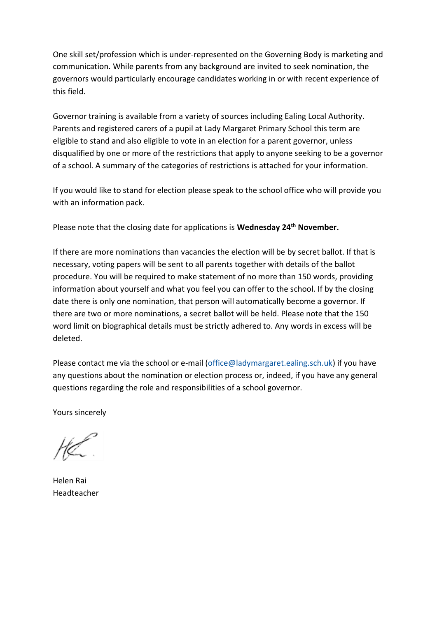One skill set/profession which is under-represented on the Governing Body is marketing and communication. While parents from any background are invited to seek nomination, the governors would particularly encourage candidates working in or with recent experience of this field.

Governor training is available from a variety of sources including Ealing Local Authority. Parents and registered carers of a pupil at Lady Margaret Primary School this term are eligible to stand and also eligible to vote in an election for a parent governor, unless disqualified by one or more of the restrictions that apply to anyone seeking to be a governor of a school. A summary of the categories of restrictions is attached for your information.

If you would like to stand for election please speak to the school office who will provide you with an information pack.

Please note that the closing date for applications is **Wednesday 24th November.**

If there are more nominations than vacancies the election will be by secret ballot. If that is necessary, voting papers will be sent to all parents together with details of the ballot procedure. You will be required to make statement of no more than 150 words, providing information about yourself and what you feel you can offer to the school. If by the closing date there is only one nomination, that person will automatically become a governor. If there are two or more nominations, a secret ballot will be held. Please note that the 150 word limit on biographical details must be strictly adhered to. Any words in excess will be deleted.

Please contact me via the school or e-mail [\(office@ladymargaret.ealing.sch.uk\)](mailto:office@ladymargaret.ealing.sch.uk) if you have any questions about the nomination or election process or, indeed, if you have any general questions regarding the role and responsibilities of a school governor.

Yours sincerely

Helen Rai Headteacher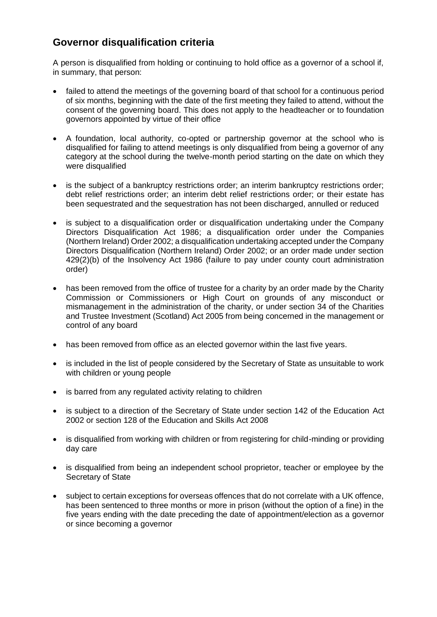## **Governor disqualification criteria**

A person is disqualified from holding or continuing to hold office as a governor of a school if, in summary, that person:

- failed to attend the meetings of the governing board of that school for a continuous period of six months, beginning with the date of the first meeting they failed to attend, without the consent of the governing board. This does not apply to the headteacher or to foundation governors appointed by virtue of their office
- A foundation, local authority, co-opted or partnership governor at the school who is disqualified for failing to attend meetings is only disqualified from being a governor of any category at the school during the twelve-month period starting on the date on which they were disqualified
- is the subject of a bankruptcy restrictions order; an interim bankruptcy restrictions order; debt relief restrictions order; an interim debt relief restrictions order; or their estate has been sequestrated and the sequestration has not been discharged, annulled or reduced
- is subject to a disqualification order or disqualification undertaking under the Company Directors Disqualification Act 1986; a disqualification order under the Companies (Northern Ireland) Order 2002; a disqualification undertaking accepted under the Company Directors Disqualification (Northern Ireland) Order 2002; or an order made under section 429(2)(b) of the Insolvency Act 1986 (failure to pay under county court administration order)
- has been removed from the office of trustee for a charity by an order made by the Charity Commission or Commissioners or High Court on grounds of any misconduct or mismanagement in the administration of the charity, or under section 34 of the Charities and Trustee Investment (Scotland) Act 2005 from being concerned in the management or control of any board
- has been removed from office as an elected governor within the last five years.
- is included in the list of people considered by the Secretary of State as unsuitable to work with children or young people
- is barred from any regulated activity relating to children
- is subject to a direction of the Secretary of State under section 142 of the Education Act 2002 or section 128 of the Education and Skills Act 2008
- is disqualified from working with children or from registering for child-minding or providing day care
- is disqualified from being an independent school proprietor, teacher or employee by the Secretary of State
- subject to certain exceptions for overseas offences that do not correlate with a UK offence, has been sentenced to three months or more in prison (without the option of a fine) in the five years ending with the date preceding the date of appointment/election as a governor or since becoming a governor